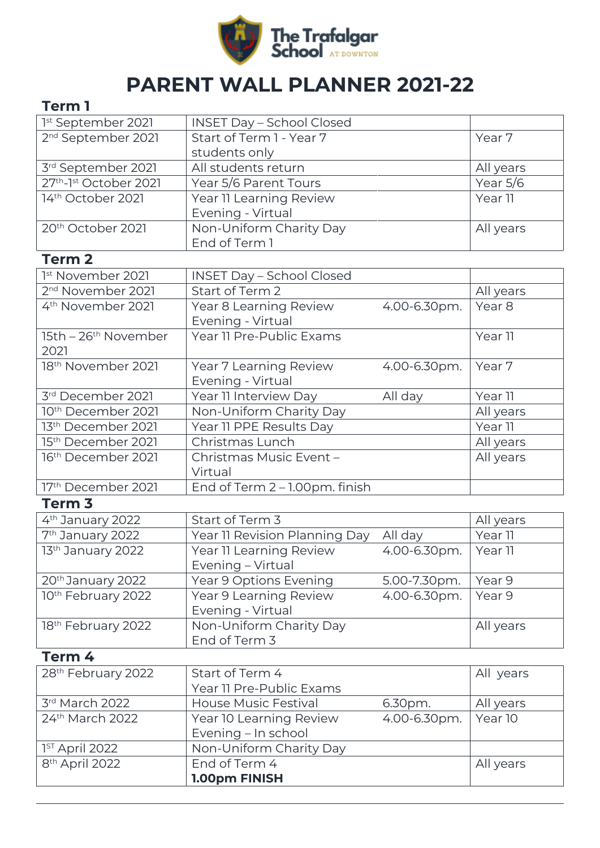

## **PARENT WALL PLANNER 2021-22**

## **Term 1**

| 1st September 2021                             | <b>INSET Day - School Closed</b> |              |                   |
|------------------------------------------------|----------------------------------|--------------|-------------------|
| 2 <sup>nd</sup> September 2021                 | Start of Term 1 - Year 7         |              | Year 7            |
|                                                | students only                    |              |                   |
| 3rd September 2021                             | All students return              |              | All years         |
| 27 <sup>th</sup> -1 <sup>st</sup> October 2021 | Year 5/6 Parent Tours            |              | Year 5/6          |
| 14 <sup>th</sup> October 2021                  | Year 11 Learning Review          |              | Year 11           |
|                                                | Evening - Virtual                |              |                   |
| 20 <sup>th</sup> October 2021                  | Non-Uniform Charity Day          |              | All years         |
|                                                | End of Term 1                    |              |                   |
| <b>Term 2</b>                                  |                                  |              |                   |
| <sup>1st</sup> November 2021                   | <b>INSET Day - School Closed</b> |              |                   |
| 2 <sup>nd</sup> November 2021                  | Start of Term 2                  |              | All years         |
| 4 <sup>th</sup> November 2021                  | Year 8 Learning Review           | 4.00-6.30pm. | Year <sub>8</sub> |
|                                                | Evening - Virtual                |              |                   |
| 15th - 26 <sup>th</sup> November               | Year 11 Pre-Public Exams         |              | Year 11           |
| 2021                                           |                                  |              |                   |
| 18 <sup>th</sup> November 2021                 | Year 7 Learning Review           | 4.00-6.30pm. | Year 7            |
|                                                | Evening - Virtual                |              |                   |
| 3rd December 2021                              | Year 11 Interview Day            | All day      | Year 11           |
| 10 <sup>th</sup> December 2021                 | Non-Uniform Charity Day          |              | All years         |
| 13 <sup>th</sup> December 2021                 | Year 11 PPE Results Day          |              | Year 11           |
| 15 <sup>th</sup> December 2021                 | Christmas Lunch                  |              | All years         |
| 16 <sup>th</sup> December 2021                 | Christmas Music Event -          |              | All years         |
|                                                | Virtual                          |              |                   |
| 17th December 2021                             | End of Term 2 - 1.00pm. finish   |              |                   |
| Term <sub>3</sub>                              |                                  |              |                   |
| 4 <sup>th</sup> January 2022                   | Start of Term 3                  |              | All years         |
| 7 <sup>th</sup> January 2022                   | Year 11 Revision Planning Day    | All day      | Year 11           |
| 13th January 2022                              | Year 11 Learning Review          | 4.00-6.30pm. | Year 11           |
|                                                | Evening - Virtual                |              |                   |
| 20 <sup>th</sup> January 2022                  | Year 9 Options Evening           | 5.00-7.30pm. | Year 9            |
| 10th February 2022                             | Year 9 Learning Review           | 4.00-6.30pm. | Year 9            |
|                                                | Evening - Virtual                |              |                   |
| 18th February 2022                             | Non-Uniform Charity Day          |              | All years         |
|                                                | End of Term 3                    |              |                   |
| Term 4                                         |                                  |              |                   |
| 28th February 2022                             | Start of Term 4                  |              | All years         |
|                                                | Year 11 Pre-Public Exams         |              |                   |
| 3rd March 2022                                 | <b>House Music Festival</b>      | 6.30pm.      | All years         |
| 24th March 2022                                | Year 10 Learning Review          | 4.00-6.30pm. | Year 10           |
|                                                | Evening - In school              |              |                   |
| 1 <sup>ST</sup> April 2022                     | Non-Uniform Charity Day          |              |                   |
| 8 <sup>th</sup> April 2022                     | End of Term 4                    |              | All years         |
|                                                | 1.00pm FINISH                    |              |                   |